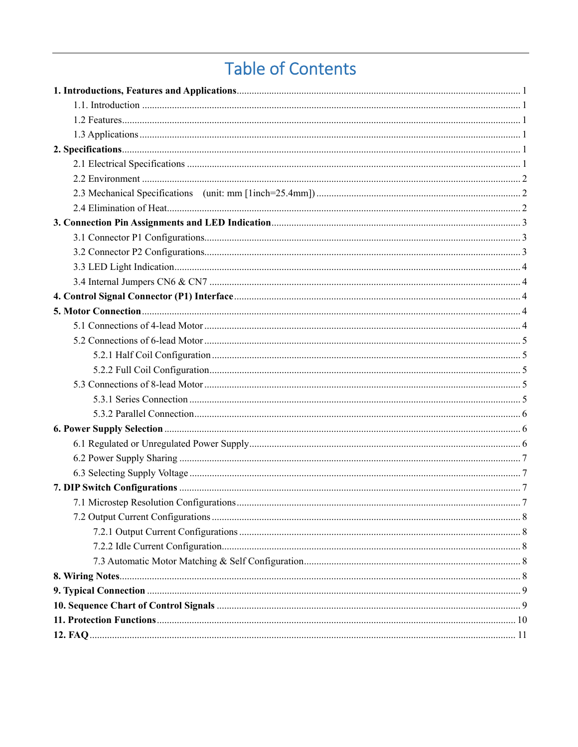# **Table of Contents**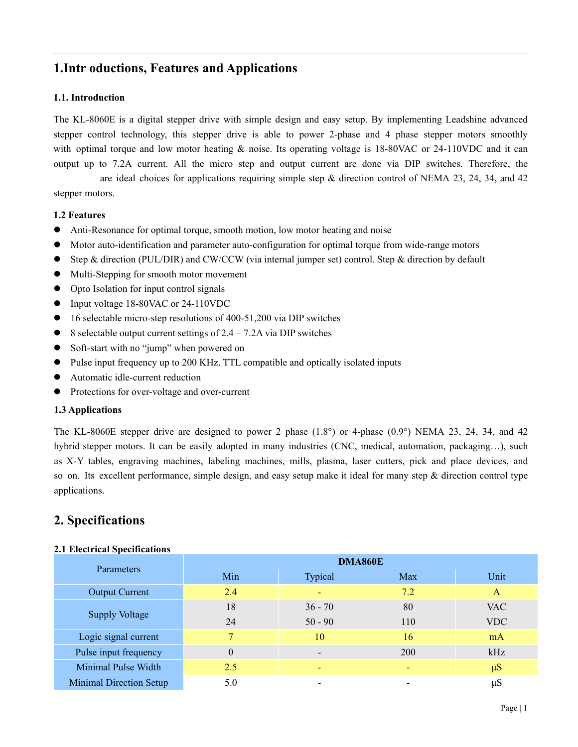## **1. Introductions, Features and Applications**

#### **1.1. Introduction**

The KL-8060E is a digital stepper drive with simple design and easy setup. By implementing Leadshine advanced stepper control technology, this stepper drive is able to power 2-phase and 4 phase stepper motors smoothly with optimal torque and low motor heating & noise. Its operating voltage is 18-80VAC or 24-110VDC and it can output up to 7.2A current. All the micro step and output current are done via DIP switches. Therefore, the KL-8060E are ideal choices for applications requiring simple step  $\&$  direction control of NEMA 23, 24, 34, and 42 stepper motors.

#### **1.2 Features**

- Anti-Resonance for optimal torque, smooth motion, low motor heating and noise
- Motor auto-identification and parameter auto-configuration for optimal torque from wide-range motors
- Step & direction (PUL/DIR) and CW/CCW (via internal jumper set) control. Step & direction by default
- Multi-Stepping for smooth motor movement
- Opto Isolation for input control signals
- Input voltage 18-80VAC or 24-110VDC
- 16 selectable micro-step resolutions of 400-51,200 via DIP switches
- $\bullet$  8 selectable output current settings of 2.4 7.2A via DIP switches
- Soft-start with no "jump" when powered on
- Pulse input frequency up to 200 KHz. TTL compatible and optically isolated inputs
- Automatic idle-current reduction
- Protections for over-voltage and over-current

#### **1.3 Applications**

The KL-8060E stepper drive are designed to power 2 phase  $(1.8^{\circ})$  or 4-phase  $(0.9^{\circ})$  NEMA 23, 24, 34, and 42 hybrid stepper motors. It can be easily adopted in many industries (CNC, medical, automation, packaging...), such as X-Y tables, engraving machines, labeling machines, mills, plasma, laser cutters, pick and place devices, and so on. Its excellent performance, simple design, and easy setup make it ideal for many step  $\&$  direction control type applications.

### **2. Specifications**

#### **2.1 Electrical Specifications**

|                                | <b>DMA860E</b> |                          |     |              |  |
|--------------------------------|----------------|--------------------------|-----|--------------|--|
| Parameters                     | Min            | Typical                  | Max | Unit         |  |
| <b>Output Current</b>          | 2.4            |                          | 7.2 | $\mathbf{A}$ |  |
| <b>Supply Voltage</b>          | 18             | $36 - 70$                | 80  | <b>VAC</b>   |  |
|                                | 24             | $50 - 90$                | 110 | <b>VDC</b>   |  |
| Logic signal current           |                | 10                       | 16  | mA           |  |
| Pulse input frequency          | $\theta$       | $\overline{\phantom{0}}$ | 200 | kHz          |  |
| Minimal Pulse Width            | 2.5            |                          | ۰   | $\mu S$      |  |
| <b>Minimal Direction Setup</b> | 5.0            |                          |     | $\mu$ S      |  |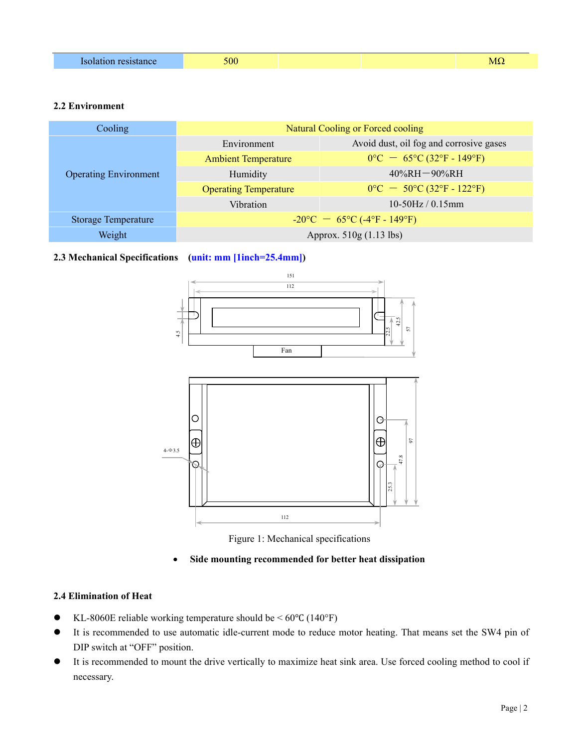| чісе | 500 | <b>MS</b> |
|------|-----|-----------|
|      |     |           |

#### **2.2 Environment**

| Cooling                      | Natural Cooling or Forced cooling              |                                         |  |
|------------------------------|------------------------------------------------|-----------------------------------------|--|
| <b>Operating Environment</b> | Environment                                    | Avoid dust, oil fog and corrosive gases |  |
|                              | <b>Ambient Temperature</b>                     | $0^{\circ}$ C = 65°C (32°F - 149°F)     |  |
|                              | Humidity                                       | $40\%RH - 90\%RH$                       |  |
|                              | <b>Operating Temperature</b>                   | $0^{\circ}$ C = 50°C (32°F - 122°F)     |  |
|                              | Vibration                                      | $10-50Hz/0.15mm$                        |  |
| <b>Storage Temperature</b>   | $-20^{\circ}$ C $-65^{\circ}$ C (-4°F - 149°F) |                                         |  |
| Weight                       | Approx. 510g (1.13 lbs)                        |                                         |  |

#### **2.3 Mechanical Specifications (unit: mm [1inch=25.4mm])**





#### **Side mounting recommended for better heat dissipation**

#### **2.4 Elimination of Heat**

- $\bullet$  KL-8060E reliable working temperature should be < 60 $\degree$ C (140 $\degree$ F)
- It is recommended to use automatic idle-current mode to reduce motor heating. That means set the SW4 pin of DIP switch at "OFF" position.
- It is recommended to mount the drive vertically to maximize heat sink area. Use forced cooling method to cool if necessary.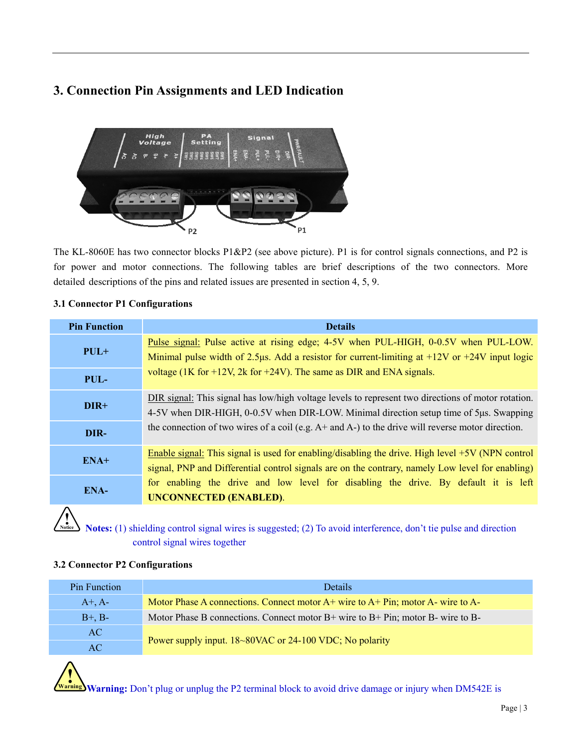# **3. Connection Pin Assignments and LED Indication**



The KL-8060E has two connector blocks P1&P2 (see above picture). P1 is for control signals connections, and P2 is for power and motor connections. The following tables are brief descriptions of the two connectors. More detailed descriptions of the pins and related issues are presented in section 4, 5, 9.

#### **3.1 Connector P1 Configurations**

| <b>Pin Function</b> | <b>Details</b>                                                                                                                                                                                                                                                                                         |  |
|---------------------|--------------------------------------------------------------------------------------------------------------------------------------------------------------------------------------------------------------------------------------------------------------------------------------------------------|--|
| $PUL+$              | Pulse signal: Pulse active at rising edge; 4-5V when PUL-HIGH, 0-0.5V when PUL-LOW.<br>Minimal pulse width of 2.5 µs. Add a resistor for current-limiting at $+12V$ or $+24V$ input logic                                                                                                              |  |
| PUL-                | voltage (1K for $+12V$ , 2k for $+24V$ ). The same as DIR and ENA signals.                                                                                                                                                                                                                             |  |
| DIR+                | DIR signal: This signal has low/high voltage levels to represent two directions of motor rotation.<br>4-5V when DIR-HIGH, 0-0.5V when DIR-LOW. Minimal direction setup time of 5us. Swapping<br>the connection of two wires of a coil (e.g. $A+$ and $A-$ ) to the drive will reverse motor direction. |  |
| DIR-                |                                                                                                                                                                                                                                                                                                        |  |
| $ENA+$              | Enable signal: This signal is used for enabling/disabling the drive. High level $+5V$ (NPN control<br>signal, PNP and Differential control signals are on the contrary, namely Low level for enabling)                                                                                                 |  |
| ENA-                | for enabling the drive and low level for disabling the drive. By default it is left<br><b>UNCONNECTED (ENABLED).</b>                                                                                                                                                                                   |  |
|                     |                                                                                                                                                                                                                                                                                                        |  |

**!**<br> **Notes:** (1) shielding control signal wires is suggested; (2) To avoid interference, don't tie pulse and direction control signal wires together

#### **3.2 Connector P2 Configurations**

| <b>Pin Function</b> | Details                                                                             |  |
|---------------------|-------------------------------------------------------------------------------------|--|
| $A^+$ , $A^-$       | Motor Phase A connections. Connect motor A+ wire to A+ Pin; motor A- wire to A-     |  |
| $B^+, B^-$          | Motor Phase B connections. Connect motor $B+$ wire to $B+$ Pin; motor B- wire to B- |  |
| AC                  |                                                                                     |  |
| AC.                 | Power supply input. 18~80VAC or 24-100 VDC; No polarity                             |  |

**! Warning Warning:** Don't plug or unplug the P2 terminal block to avoid drive damage or injury when DM542E is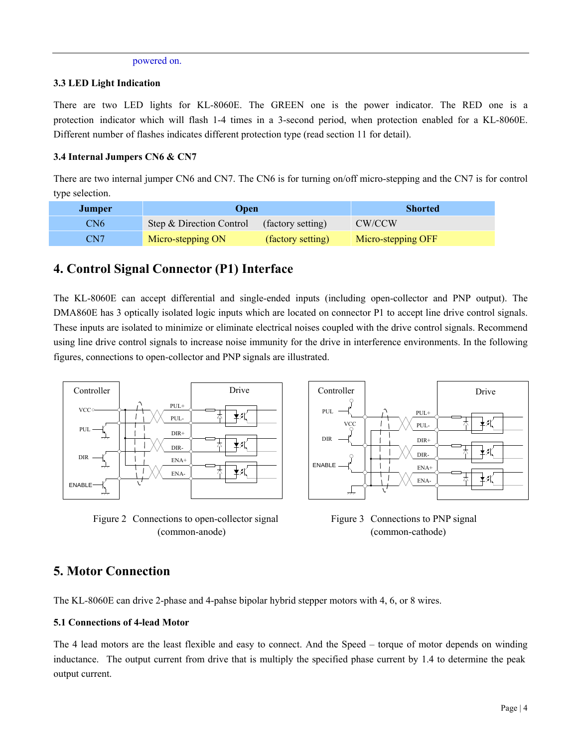#### powered on.

#### **3.3 LED Light Indication**

There are two LED lights for KL-8060E. The GREEN one is the power indicator. The RED one is a protection indicator which will flash 1-4 times in a 3-second period, when protection enabled for a KL-8060E. Different number of flashes indicates different protection type (read section 11 for detail).

#### **3.4 Internal Jumpers CN6 & CN7**

There are two internal jumper CN6 and CN7. The CN6 is for turning on/off micro-stepping and the CN7 is for control type selection.

| Jumper          | Open                     |                   | <b>Shorted</b>     |
|-----------------|--------------------------|-------------------|--------------------|
| CN <sub>6</sub> | Step & Direction Control | (factory setting) | CW/CCW             |
| CN7             | Micro-stepping ON        | (factory setting) | Micro-stepping OFF |

# **4. Control Signal Connector (P1) Interface**

The KL-8060E can accept differential and single-ended inputs (including open-collector and PNP output). The DMA860E has 3 optically isolated logic inputs which are located on connector P1 to accept line drive control signals. These inputs are isolated to minimize or eliminate electrical noises coupled with the drive control signals. Recommend using line drive control signals to increase noise immunity for the drive in interference environments. In the following figures, connections to open-collector and PNP signals are illustrated.



Figure 2 Connections to open-collector signal Figure 3 Connections to PNP signal (common-anode) (common-cathode)



### **5. Motor Connection**

The KL-8060E can drive 2-phase and 4-pahse bipolar hybrid stepper motors with 4, 6, or 8 wires.

#### **5.1 Connections of 4-lead Motor**

The 4 lead motors are the least flexible and easy to connect. And the Speed – torque of motor depends on winding inductance. The output current from drive that is multiply the specified phase current by 1.4 to determine the peak output current.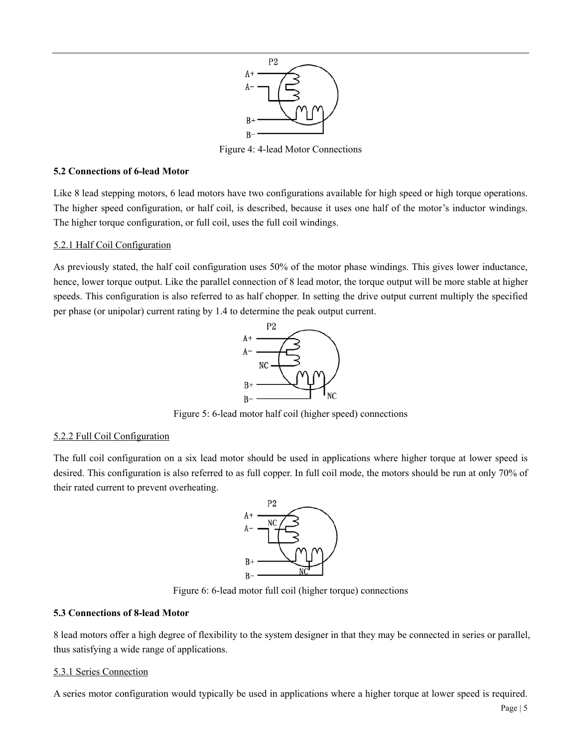

Figure 4: 4-lead Motor Connections

#### **5.2 Connections of 6-lead Motor**

Like 8 lead stepping motors, 6 lead motors have two configurations available for high speed or high torque operations. The higher speed configuration, or half coil, is described, because it uses one half of the motor's inductor windings. The higher torque configuration, or full coil, uses the full coil windings.

#### 5.2.1 Half Coil Configuration

As previously stated, the half coil configuration uses 50% of the motor phase windings. This gives lower inductance, hence, lower torque output. Like the parallel connection of 8 lead motor, the torque output will be more stable at higher speeds. This configuration is also referred to as half chopper. In setting the drive output current multiply the specified per phase (or unipolar) current rating by 1.4 to determine the peak output current.



Figure 5: 6-lead motor half coil (higher speed) connections

#### 5.2.2 Full Coil Configuration

The full coil configuration on a six lead motor should be used in applications where higher torque at lower speed is desired. This configuration is also referred to as full copper. In full coil mode, the motors should be run at only 70% of their rated current to prevent overheating.



Figure 6: 6-lead motor full coil (higher torque) connections

#### **5.3 Connections of 8-lead Motor**

8 lead motors offer a high degree of flexibility to the system designer in that they may be connected in series or parallel, thus satisfying a wide range of applications.

#### 5.3.1 Series Connection

A series motor configuration would typically be used in applications where a higher torque at lower speed is required.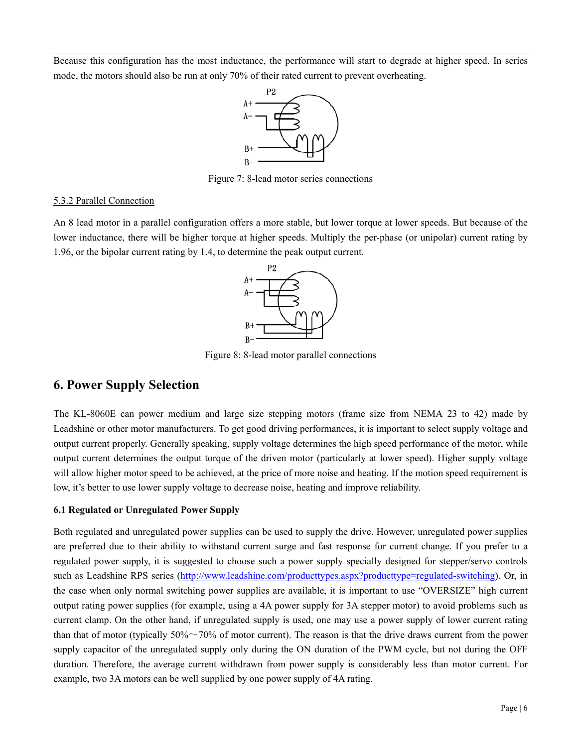Because this configuration has the most inductance, the performance will start to degrade at higher speed. In series mode, the motors should also be run at only 70% of their rated current to prevent overheating.



Figure 7: 8-lead motor series connections

#### 5.3.2 Parallel Connection

An 8 lead motor in a parallel configuration offers a more stable, but lower torque at lower speeds. But because of the lower inductance, there will be higher torque at higher speeds. Multiply the per-phase (or unipolar) current rating by 1.96, or the bipolar current rating by 1.4, to determine the peak output current.



Figure 8: 8-lead motor parallel connections

### **6. Power Supply Selection**

The KL-8060E can power medium and large size stepping motors (frame size from NEMA 23 to 42) made by Leadshine or other motor manufacturers. To get good driving performances, it is important to select supply voltage and output current properly. Generally speaking, supply voltage determines the high speed performance of the motor, while output current determines the output torque of the driven motor (particularly at lower speed). Higher supply voltage will allow higher motor speed to be achieved, at the price of more noise and heating. If the motion speed requirement is low, it's better to use lower supply voltage to decrease noise, heating and improve reliability.

#### **6.1 Regulated or Unregulated Power Supply**

Both regulated and unregulated power supplies can be used to supply the drive. However, unregulated power supplies are preferred due to their ability to withstand current surge and fast response for current change. If you prefer to a regulated power supply, it is suggested to choose such a power supply specially designed for stepper/servo controls such as Leadshine RPS series (http://www.leadshine.com/producttypes.aspx?producttype=regulated-switching). Or, in the case when only normal switching power supplies are available, it is important to use "OVERSIZE" high current output rating power supplies (for example, using a 4A power supply for 3A stepper motor) to avoid problems such as current clamp. On the other hand, if unregulated supply is used, one may use a power supply of lower current rating than that of motor (typically  $50\% \sim 70\%$  of motor current). The reason is that the drive draws current from the power supply capacitor of the unregulated supply only during the ON duration of the PWM cycle, but not during the OFF duration. Therefore, the average current withdrawn from power supply is considerably less than motor current. For example, two 3A motors can be well supplied by one power supply of 4A rating.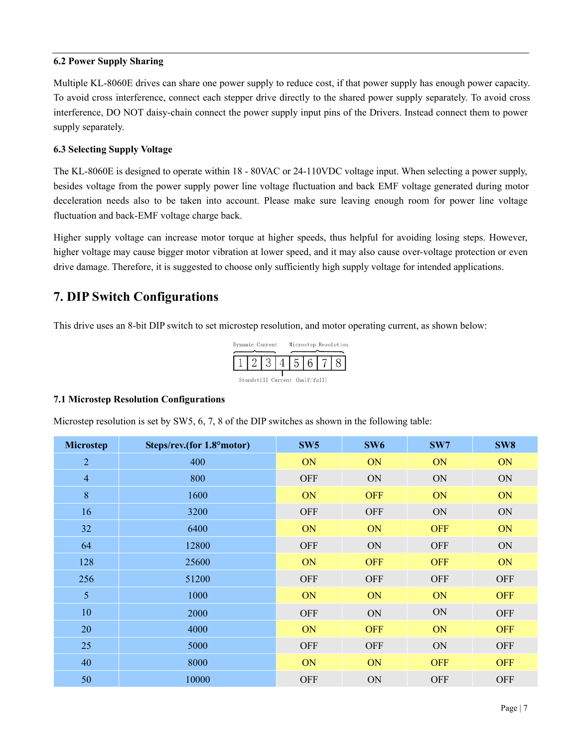#### **6.2 Power Supply Sharing**

Multiple KL-8060E drives can share one power supply to reduce cost, if that power supply has enough power capacity. To avoid cross interference, connect each stepper drive directly to the shared power supply separately. To avoid cross interference, DO NOT daisy-chain connect the power supply input pins of the Drivers. Instead connect them to power supply separately.

#### **6.3 Selecting Supply Voltage**

The KL-8060E is designed to operate within 18 - 80VAC or 24-110VDC voltage input. When selecting a power supply, besides voltage from the power supply power line voltage fluctuation and back EMF voltage generated during motor deceleration needs also to be taken into account. Please make sure leaving enough room for power line voltage fluctuation and back-EMF voltage charge back.

Higher supply voltage can increase motor torque at higher speeds, thus helpful for avoiding losing steps. However, higher voltage may cause bigger motor vibration at lower speed, and it may also cause over-voltage protection or even drive damage. Therefore, it is suggested to choose only sufficiently high supply voltage for intended applications.

# **7. DIP Switch Configurations**

This drive uses an 8-bit DIP switch to set microstep resolution, and motor operating current, as shown below:



#### **7.1 Microstep Resolution Configurations**

Microstep resolution is set by SW5, 6, 7, 8 of the DIP switches as shown in the following table:

| <b>Microstep</b> | Steps/rev.(for 1.8°motor) | SW <sub>5</sub> | SW <sub>6</sub> | SW7        | SW <sub>8</sub> |
|------------------|---------------------------|-----------------|-----------------|------------|-----------------|
| $\overline{2}$   | 400                       | ON              | ON              | ON         | ON              |
| $\overline{4}$   | 800                       | <b>OFF</b>      | ON              | ON         | ON              |
| 8                | 1600                      | ON              | <b>OFF</b>      | ON         | ON              |
| 16               | 3200                      | <b>OFF</b>      | <b>OFF</b>      | ON         | ON              |
| 32               | 6400                      | ON              | ON              | <b>OFF</b> | ON              |
| 64               | 12800                     | <b>OFF</b>      | ON              | <b>OFF</b> | ON              |
| 128              | 25600                     | ON              | <b>OFF</b>      | <b>OFF</b> | ON              |
| 256              | 51200                     | <b>OFF</b>      | <b>OFF</b>      | <b>OFF</b> | <b>OFF</b>      |
| 5                | 1000                      | ON              | ON              | ON         | <b>OFF</b>      |
| 10               | 2000                      | <b>OFF</b>      | ON              | ON         | <b>OFF</b>      |
| 20               | 4000                      | ON              | <b>OFF</b>      | ON         | <b>OFF</b>      |
| 25               | 5000                      | <b>OFF</b>      | <b>OFF</b>      | ON         | <b>OFF</b>      |
| 40               | 8000                      | ON              | ON              | <b>OFF</b> | <b>OFF</b>      |
| 50               | 10000                     | <b>OFF</b>      | ON              | <b>OFF</b> | <b>OFF</b>      |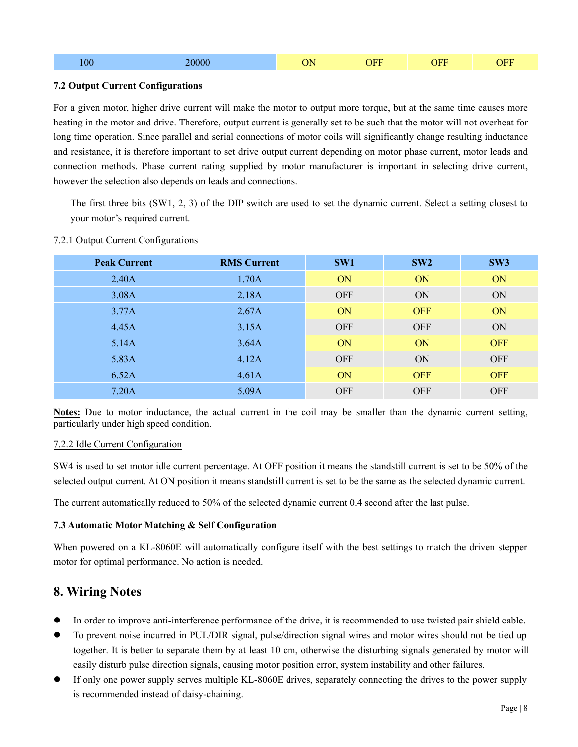| 100 | $\sim$ 0.0 $\sim$ | ٦N.<br>◡ |  | $\sqrt{\text{E}}\Gamma$ |
|-----|-------------------|----------|--|-------------------------|
|     |                   |          |  |                         |

#### **7.2 Output Current Configurations**

For a given motor, higher drive current will make the motor to output more torque, but at the same time causes more heating in the motor and drive. Therefore, output current is generally set to be such that the motor will not overheat for long time operation. Since parallel and serial connections of motor coils will significantly change resulting inductance and resistance, it is therefore important to set drive output current depending on motor phase current, motor leads and connection methods. Phase current rating supplied by motor manufacturer is important in selecting drive current, however the selection also depends on leads and connections.

The first three bits (SW1, 2, 3) of the DIP switch are used to set the dynamic current. Select a setting closest to your motor's required current.

| <b>Peak Current</b> | <b>RMS Current</b> | SW1        | SW2        | SW3        |
|---------------------|--------------------|------------|------------|------------|
| 2.40A               | 1.70A              | <b>ON</b>  | <b>ON</b>  | <b>ON</b>  |
| 3.08A               | 2.18A              | <b>OFF</b> | <b>ON</b>  | ON         |
| 3.77A               | 2.67A              | <b>ON</b>  | <b>OFF</b> | <b>ON</b>  |
| 4.45A               | 3.15A              | <b>OFF</b> | <b>OFF</b> | ON         |
| 5.14A               | 3.64A              | <b>ON</b>  | <b>ON</b>  | <b>OFF</b> |
| 5.83A               | 4.12A              | <b>OFF</b> | <b>ON</b>  | <b>OFF</b> |
| 6.52A               | 4.61A              | <b>ON</b>  | <b>OFF</b> | <b>OFF</b> |
| 7.20A               | 5.09A              | <b>OFF</b> | <b>OFF</b> | <b>OFF</b> |

#### 7.2.1 Output Current Configurations

**Notes:** Due to motor inductance, the actual current in the coil may be smaller than the dynamic current setting, particularly under high speed condition.

#### 7.2.2 Idle Current Configuration

SW4 is used to set motor idle current percentage. At OFF position it means the standstill current is set to be 50% of the selected output current. At ON position it means standstill current is set to be the same as the selected dynamic current.

The current automatically reduced to 50% of the selected dynamic current 0.4 second after the last pulse.

#### **7.3 Automatic Motor Matching & Self Configuration**

When powered on a KL-8060E will automatically configure itself with the best settings to match the driven stepper motor for optimal performance. No action is needed.

# **8. Wiring Notes**

- In order to improve anti-interference performance of the drive, it is recommended to use twisted pair shield cable.
- To prevent noise incurred in PUL/DIR signal, pulse/direction signal wires and motor wires should not be tied up together. It is better to separate them by at least 10 cm, otherwise the disturbing signals generated by motor will easily disturb pulse direction signals, causing motor position error, system instability and other failures.
- If only one power supply serves multiple KL-8060E drives, separately connecting the drives to the power supply is recommended instead of daisy-chaining.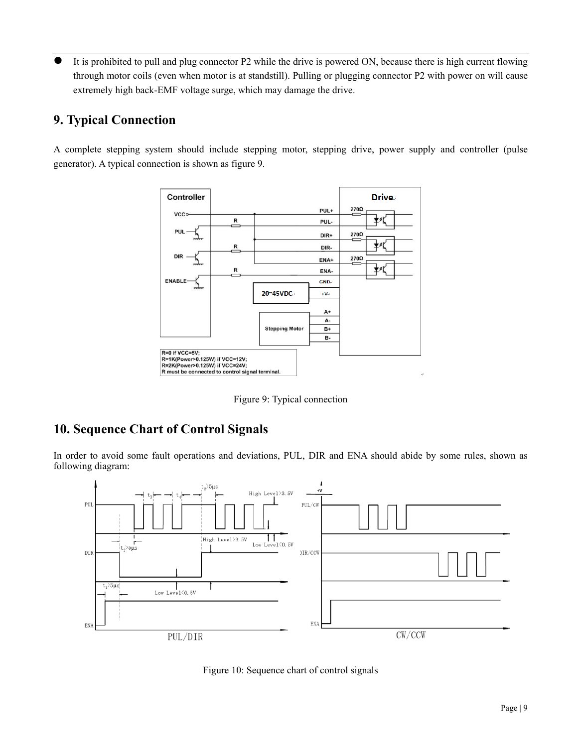It is prohibited to pull and plug connector P2 while the drive is powered ON, because there is high current flowing through motor coils (even when motor is at standstill). Pulling or plugging connector P2 with power on will cause extremely high back-EMF voltage surge, which may damage the drive.

# **9. Typical Connection**

A complete stepping system should include stepping motor, stepping drive, power supply and controller (pulse generator). A typical connection is shown as figure 9.



Figure 9: Typical connection

# **10. Sequence Chart of Control Signals**

In order to avoid some fault operations and deviations, PUL, DIR and ENA should abide by some rules, shown as following diagram:



Figure 10: Sequence chart of control signals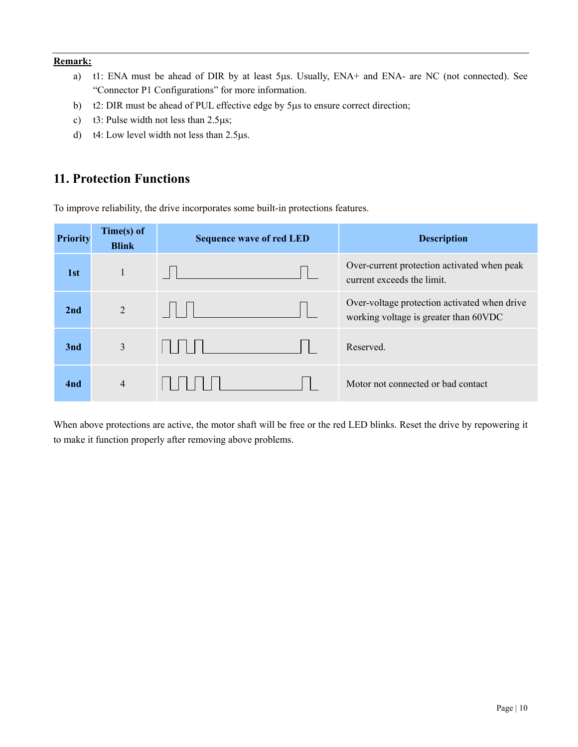#### **Remark:**

- a) t1: ENA must be ahead of DIR by at least 5µs. Usually, ENA+ and ENA- are NC (not connected). See "Connector P1 Configurations" for more information.
- b) t2: DIR must be ahead of PUL effective edge by 5µs to ensure correct direction;
- c) t3: Pulse width not less than  $2.5\mu s$ ;
- d)  $t4$ : Low level width not less than 2.5 $\mu$ s.

# **11. Protection Functions**

To improve reliability, the drive incorporates some built-in protections features.

| <b>Priority</b> | Time(s) of<br><b>Blink</b> | <b>Sequence wave of red LED</b> | <b>Description</b>                                                                     |
|-----------------|----------------------------|---------------------------------|----------------------------------------------------------------------------------------|
| 1st             |                            |                                 | Over-current protection activated when peak<br>current exceeds the limit.              |
| 2nd             | $\overline{2}$             |                                 | Over-voltage protection activated when drive<br>working voltage is greater than 60 VDC |
| 3nd             | 3                          | <b>.</b>                        | Reserved.                                                                              |
| 4nd             | $\overline{4}$             |                                 | Motor not connected or bad contact                                                     |

When above protections are active, the motor shaft will be free or the red LED blinks. Reset the drive by repowering it to make it function properly after removing above problems.